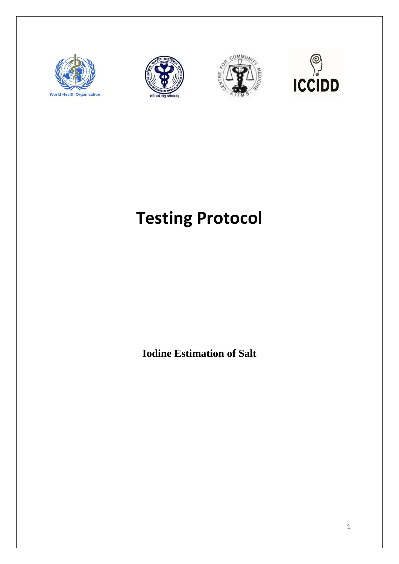







# **Testing Protocol**

**Iodine Estimation of Salt**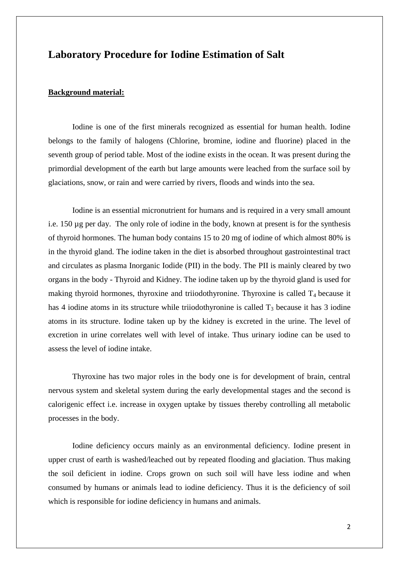## **Laboratory Procedure for Iodine Estimation of Salt**

#### **Background material:**

Iodine is one of the first minerals recognized as essential for human health. Iodine belongs to the family of halogens (Chlorine, bromine, iodine and fluorine) placed in the seventh group of period table. Most of the iodine exists in the ocean. It was present during the primordial development of the earth but large amounts were leached from the surface soil by glaciations, snow, or rain and were carried by rivers, floods and winds into the sea.

Iodine is an essential micronutrient for humans and is required in a very small amount i.e. 150 µg per day. The only role of iodine in the body, known at present is for the synthesis of thyroid hormones. The human body contains 15 to 20 mg of iodine of which almost 80% is in the thyroid gland. The iodine taken in the diet is absorbed throughout gastrointestinal tract and circulates as plasma Inorganic Iodide (PII) in the body. The PII is mainly cleared by two organs in the body - Thyroid and Kidney. The iodine taken up by the thyroid gland is used for making thyroid hormones, thyroxine and triiodothyronine. Thyroxine is called  $T_4$  because it has 4 iodine atoms in its structure while triiodothyronine is called  $T_3$  because it has 3 iodine atoms in its structure. Iodine taken up by the kidney is excreted in the urine. The level of excretion in urine correlates well with level of intake. Thus urinary iodine can be used to assess the level of iodine intake.

Thyroxine has two major roles in the body one is for development of brain, central nervous system and skeletal system during the early developmental stages and the second is calorigenic effect i.e. increase in oxygen uptake by tissues thereby controlling all metabolic processes in the body.

Iodine deficiency occurs mainly as an environmental deficiency. Iodine present in upper crust of earth is washed/leached out by repeated flooding and glaciation. Thus making the soil deficient in iodine. Crops grown on such soil will have less iodine and when consumed by humans or animals lead to iodine deficiency. Thus it is the deficiency of soil which is responsible for iodine deficiency in humans and animals.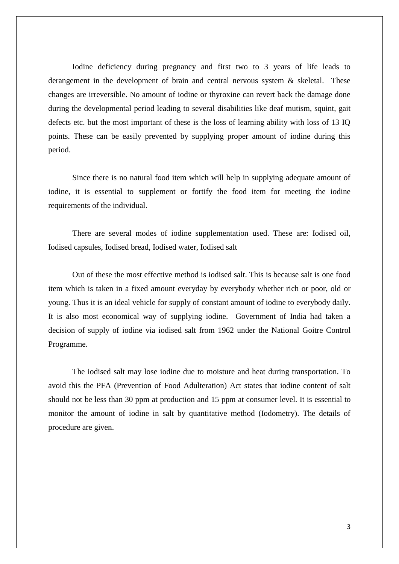Iodine deficiency during pregnancy and first two to 3 years of life leads to derangement in the development of brain and central nervous system & skeletal. These changes are irreversible. No amount of iodine or thyroxine can revert back the damage done during the developmental period leading to several disabilities like deaf mutism, squint, gait defects etc. but the most important of these is the loss of learning ability with loss of 13 IQ points. These can be easily prevented by supplying proper amount of iodine during this period.

Since there is no natural food item which will help in supplying adequate amount of iodine, it is essential to supplement or fortify the food item for meeting the iodine requirements of the individual.

There are several modes of iodine supplementation used. These are: Iodised oil, Iodised capsules, Iodised bread, Iodised water, Iodised salt

Out of these the most effective method is iodised salt. This is because salt is one food item which is taken in a fixed amount everyday by everybody whether rich or poor, old or young. Thus it is an ideal vehicle for supply of constant amount of iodine to everybody daily. It is also most economical way of supplying iodine. Government of India had taken a decision of supply of iodine via iodised salt from 1962 under the National Goitre Control Programme.

The iodised salt may lose iodine due to moisture and heat during transportation. To avoid this the PFA (Prevention of Food Adulteration) Act states that iodine content of salt should not be less than 30 ppm at production and 15 ppm at consumer level. It is essential to monitor the amount of iodine in salt by quantitative method (Iodometry). The details of procedure are given.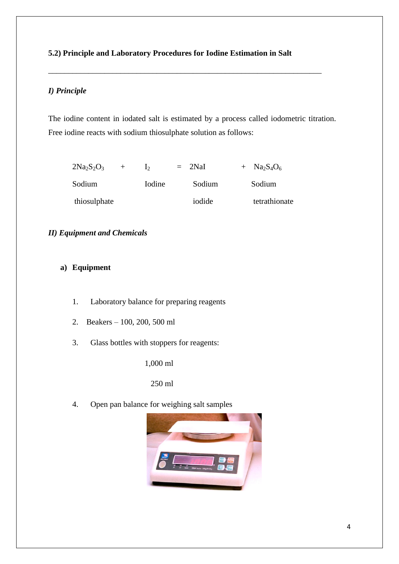## **5.2) Principle and Laboratory Procedures for Iodine Estimation in Salt**

\_\_\_\_\_\_\_\_\_\_\_\_\_\_\_\_\_\_\_\_\_\_\_\_\_\_\_\_\_\_\_\_\_\_\_\_\_\_\_\_\_\_\_\_\_\_\_\_\_\_\_\_\_\_\_\_\_\_\_\_\_\_\_\_\_\_\_\_

## *I) Principle*

The iodine content in iodated salt is estimated by a process called iodometric titration. Free iodine reacts with sodium thiosulphate solution as follows:

| $2Na2S2O3$<br>$+$ |        | $=$ 2NaI | $+$ Na <sub>2</sub> S <sub>4</sub> O <sub>6</sub> |
|-------------------|--------|----------|---------------------------------------------------|
| Sodium            | Iodine | Sodium   | Sodium                                            |
| thiosulphate      |        | iodide   | tetrathionate                                     |

## *II) Equipment and Chemicals*

## **a) Equipment**

- 1. Laboratory balance for preparing reagents
- 2. Beakers 100, 200, 500 ml
- 3. Glass bottles with stoppers for reagents:

1,000 ml

250 ml

4. Open pan balance for weighing salt samples

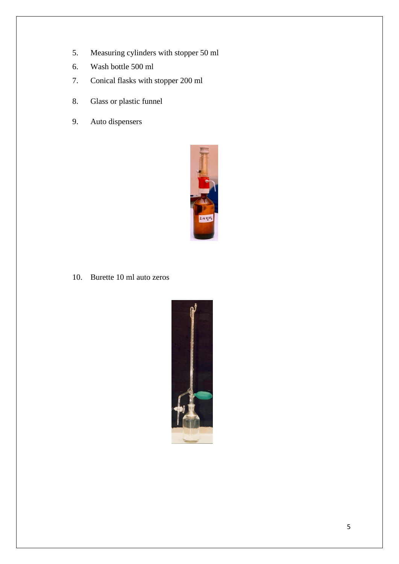- 5. Measuring cylinders with stopper 50 ml
- 6. Wash bottle 500 ml
- 7. Conical flasks with stopper 200 ml
- 8. Glass or plastic funnel
- 9. Auto dispensers



10. Burette 10 ml auto zeros

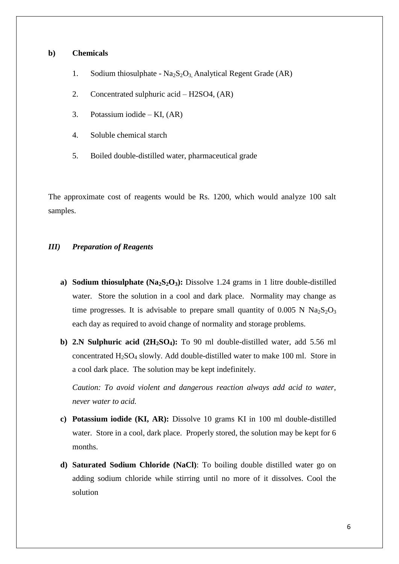#### **b) Chemicals**

- 1. Sodium thiosulphate  $Na<sub>2</sub>S<sub>2</sub>O<sub>3</sub>$  Analytical Regent Grade (AR)
- 2. Concentrated sulphuric acid H2SO4, (AR)
- 3. Potassium iodide KI, (AR)
- 4. Soluble chemical starch
- 5. Boiled double-distilled water, pharmaceutical grade

The approximate cost of reagents would be Rs. 1200, which would analyze 100 salt samples.

#### *III) Preparation of Reagents*

- **a) Sodium thiosulphate (Na2S2O3):** Dissolve 1.24 grams in 1 litre double-distilled water. Store the solution in a cool and dark place. Normality may change as time progresses. It is advisable to prepare small quantity of  $0.005$  N Na<sub>2</sub>S<sub>2</sub>O<sub>3</sub> each day as required to avoid change of normality and storage problems.
- **b) 2.N Sulphuric acid (2H2SO4):** To 90 ml double-distilled water, add 5.56 ml concentrated  $H_2SO_4$  slowly. Add double-distilled water to make 100 ml. Store in a cool dark place. The solution may be kept indefinitely.

*Caution: To avoid violent and dangerous reaction always add acid to water, never water to acid.*

- **c) Potassium iodide (KI, AR):** Dissolve 10 grams KI in 100 ml double-distilled water. Store in a cool, dark place. Properly stored, the solution may be kept for 6 months.
- **d) Saturated Sodium Chloride (NaCl)**: To boiling double distilled water go on adding sodium chloride while stirring until no more of it dissolves. Cool the solution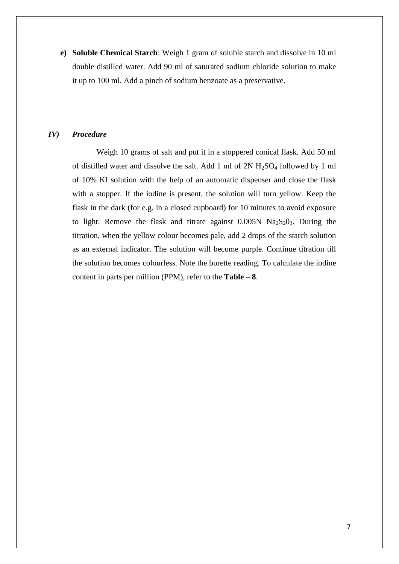**e) Soluble Chemical Starch**: Weigh 1 gram of soluble starch and dissolve in 10 ml double distilled water. Add 90 ml of saturated sodium chloride solution to make it up to 100 ml. Add a pinch of sodium benzoate as a preservative.

#### *IV) Procedure*

Weigh 10 grams of salt and put it in a stoppered conical flask. Add 50 ml of distilled water and dissolve the salt. Add 1 ml of  $2N H_2SO_4$  followed by 1 ml of 10% KI solution with the help of an automatic dispenser and close the flask with a stopper. If the iodine is present, the solution will turn yellow. Keep the flask in the dark (for e.g. in a closed cupboard) for 10 minutes to avoid exposure to light. Remove the flask and titrate against  $0.005N$   $Na<sub>2</sub>S<sub>2</sub>O<sub>3</sub>$ . During the titration, when the yellow colour becomes pale, add 2 drops of the starch solution as an external indicator. The solution will become purple. Continue titration till the solution becomes colourless. Note the burette reading. To calculate the iodine content in parts per million (PPM), refer to the **Table – 8**.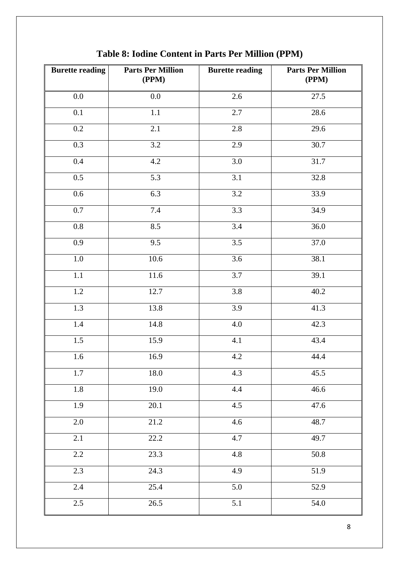| <b>Burette reading</b> | <b>Parts Per Million</b><br>(PPM) | <b>Burette reading</b> | <b>Parts Per Million</b><br>(PPM) |
|------------------------|-----------------------------------|------------------------|-----------------------------------|
| 0.0                    | 0.0                               | 2.6                    | 27.5                              |
| 0.1                    | 1.1                               | 2.7                    | 28.6                              |
| $0.2\,$                | 2.1                               | 2.8                    | 29.6                              |
| 0.3                    | 3.2                               | 2.9                    | 30.7                              |
| $0.4\,$                | 4.2                               | 3.0                    | 31.7                              |
| $0.5\,$                | 5.3                               | 3.1                    | 32.8                              |
| 0.6                    | 6.3                               | $\overline{3.2}$       | 33.9                              |
| $0.7\,$                | $7.4\,$                           | 3.3                    | 34.9                              |
| $\overline{0.8}$       | 8.5                               | $\overline{3.4}$       | 36.0                              |
| $\overline{0.9}$       | 9.5                               | $\overline{3.5}$       | 37.0                              |
| $1.0\,$                | 10.6                              | 3.6                    | 38.1                              |
| $\overline{1.1}$       | 11.6                              | $\overline{3.7}$       | 39.1                              |
| $\overline{1.2}$       | 12.7                              | 3.8                    | 40.2                              |
| $\overline{1.3}$       | 13.8                              | 3.9                    | 41.3                              |
| 1.4                    | 14.8                              | $4.0\,$                | 42.3                              |
| $\overline{1.5}$       | 15.9                              | 4.1                    | 43.4                              |
| $1.6\,$                | 16.9                              | $4.2\,$                | 44.4                              |
| 1.7                    | 18.0                              | 4.3                    | 45.5                              |
| 1.8                    | 19.0                              | 4.4                    | 46.6                              |
| 1.9                    | 20.1                              | 4.5                    | 47.6                              |
| 2.0                    | 21.2                              | 4.6                    | 48.7                              |
| 2.1                    | 22.2                              | 4.7                    | 49.7                              |
| 2.2                    | 23.3                              | 4.8                    | 50.8                              |
| 2.3                    | 24.3                              | 4.9                    | 51.9                              |
| $2.4\,$                | 25.4                              | 5.0                    | 52.9                              |
| 2.5                    | 26.5                              | 5.1                    | 54.0                              |

**Table 8: Iodine Content in Parts Per Million (PPM)**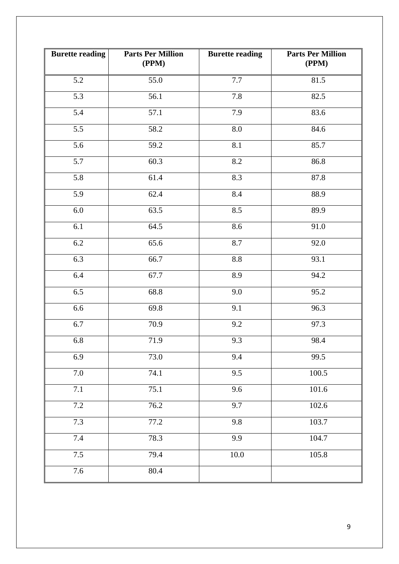| <b>Burette reading</b> | <b>Parts Per Million</b><br>(PPM) | <b>Burette reading</b> | <b>Parts Per Million</b><br>(PPM) |
|------------------------|-----------------------------------|------------------------|-----------------------------------|
| 5.2                    | 55.0                              | 7.7                    | 81.5                              |
| 5.3                    | 56.1                              | 7.8                    | 82.5                              |
| 5.4                    | 57.1                              | 7.9                    | 83.6                              |
| 5.5                    | 58.2                              | 8.0                    | 84.6                              |
| 5.6                    | 59.2                              | 8.1                    | 85.7                              |
| 5.7                    | 60.3                              | 8.2                    | 86.8                              |
| 5.8                    | 61.4                              | 8.3                    | 87.8                              |
| 5.9                    | 62.4                              | 8.4                    | 88.9                              |
| 6.0                    | 63.5                              | 8.5                    | 89.9                              |
| 6.1                    | 64.5                              | 8.6                    | 91.0                              |
| 6.2                    | 65.6                              | 8.7                    | 92.0                              |
| 6.3                    | 66.7                              | 8.8                    | 93.1                              |
| 6.4                    | 67.7                              | 8.9                    | 94.2                              |
| 6.5                    | 68.8                              | $\overline{9.0}$       | 95.2                              |
| 6.6                    | 69.8                              | 9.1                    | 96.3                              |
| 6.7                    | 70.9                              | 9.2                    | 97.3                              |
| 6.8                    | 71.9                              | 9.3                    | 98.4                              |
| 6.9                    | 73.0                              | 9.4                    | 99.5                              |
| $7.0\,$                | 74.1                              | 9.5                    | 100.5                             |
| 7.1                    | 75.1                              | 9.6                    | 101.6                             |
| 7.2                    | 76.2                              | 9.7                    | 102.6                             |
| 7.3                    | 77.2                              | 9.8                    | 103.7                             |
| $7.4\,$                | 78.3                              | 9.9                    | 104.7                             |
| 7.5                    | 79.4                              | $10.0\,$               | 105.8                             |
| 7.6                    | 80.4                              |                        |                                   |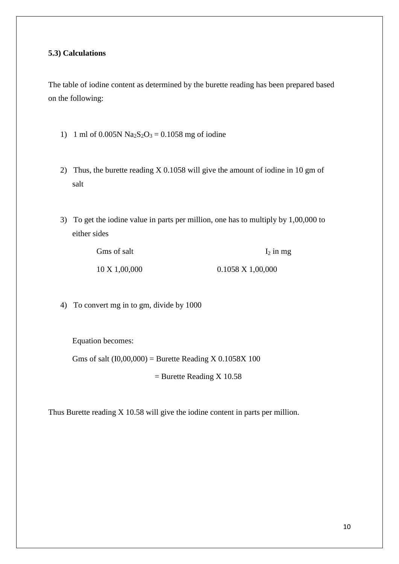### **5.3) Calculations**

The table of iodine content as determined by the burette reading has been prepared based on the following:

- 1) 1 ml of 0.005N  $Na<sub>2</sub>S<sub>2</sub>O<sub>3</sub> = 0.1058$  mg of iodine
- 2) Thus, the burette reading X 0.1058 will give the amount of iodine in 10 gm of salt
- 3) To get the iodine value in parts per million, one has to multiply by 1,00,000 to either sides

| Gms of salt              | $I_2$ in mg              |
|--------------------------|--------------------------|
| $10 \text{ X } 1,00,000$ | $0.1058 \times 1,00,000$ |

4) To convert mg in to gm, divide by 1000

Equation becomes:

Gms of salt  $(10,00,000)$  = Burette Reading X 0.1058X 100

 $=$  Burette Reading X 10.58

Thus Burette reading X 10.58 will give the iodine content in parts per million.